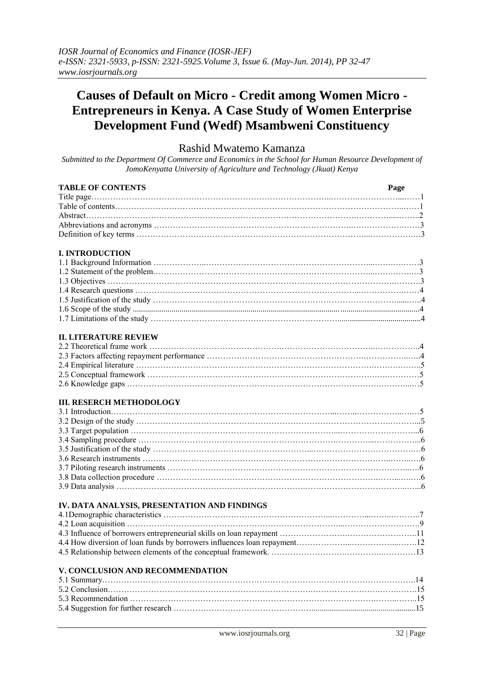# **Causes of Default on Micro - Credit among Women Micro - Entrepreneurs in Kenya. A Case Study of Women Enterprise Development Fund (Wedf) Msambweni Constituency**

# Rashid Mwatemo Kamanza

*Submitted to the Department Of Commerce and Economics in the School for Human Resource Development of JomoKenyatta University of Agriculture and Technology (Jkuat) Kenya*

| <b>TABLE OF CONTENTS</b>                     | Page |
|----------------------------------------------|------|
|                                              |      |
|                                              |      |
|                                              |      |
|                                              |      |
|                                              |      |
|                                              |      |
| <b>I. INTRODUCTION</b>                       |      |
|                                              |      |
|                                              |      |
|                                              |      |
|                                              |      |
|                                              |      |
|                                              |      |
|                                              |      |
|                                              |      |
| <b>II. LITERATURE REVIEW</b>                 |      |
|                                              |      |
|                                              |      |
|                                              |      |
|                                              |      |
|                                              |      |
| <b>III. RESERCH METHODOLOGY</b>              |      |
|                                              |      |
|                                              |      |
|                                              |      |
|                                              |      |
|                                              |      |
|                                              |      |
|                                              |      |
|                                              |      |
|                                              |      |
|                                              |      |
| IV. DATA ANALYSIS, PRESENTATION AND FINDINGS |      |
|                                              |      |
|                                              |      |
|                                              |      |

# **V. CONCLUSION AND RECOMMENDATION**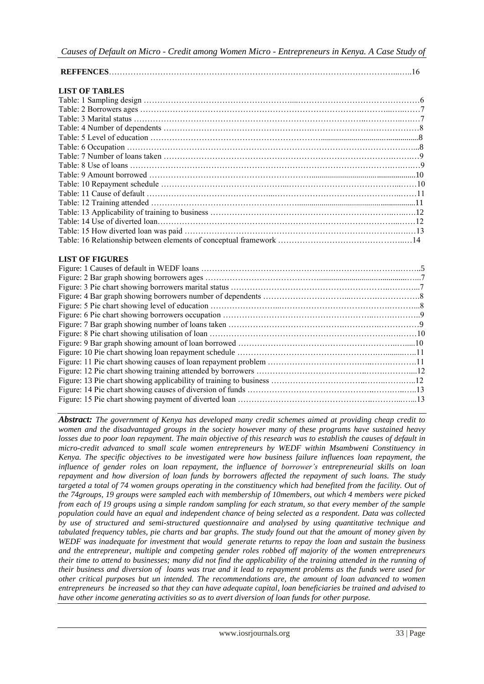| <b>LIST OF TABLES</b> |  |
|-----------------------|--|
|                       |  |
|                       |  |
|                       |  |
|                       |  |
|                       |  |
|                       |  |
|                       |  |
|                       |  |
|                       |  |
|                       |  |
|                       |  |
|                       |  |
|                       |  |
|                       |  |
|                       |  |
|                       |  |

# **LIST OF FIGURES**

*Abstract: The government of Kenya has developed many credit schemes aimed at providing cheap credit to women and the disadvantaged groups in the society however many of these programs have sustained heavy losses due to poor loan repayment. The main objective of this research was to establish the causes of default in micro-credit advanced to small scale women entrepreneurs by WEDF within Msambweni Constituency in Kenya. The specific objectives to be investigated were how business failure influences loan repayment, the influence of gender roles on loan repayment, the influence of borrower's entrepreneurial skills on loan repayment and how diversion of loan funds by borrowers affected the repayment of such loans. The study targeted a total of 74 women groups operating in the constituency which had benefited from the facility. Out of the 74groups, 19 groups were sampled each with membership of 10members, out which 4 members were picked from each of 19 groups using a simple random sampling for each stratum, so that every member of the sample population could have an equal and independent chance of being selected as a respondent. Data was collected by use of structured and semi-structured questionnaire and analysed by using quantitative technique and tabulated frequency tables, pie charts and bar graphs. The study found out that the amount of money given by WEDF was inadequate for investment that would generate returns to repay the loan and sustain the business and the entrepreneur, multiple and competing gender roles robbed off majority of the women entrepreneurs their time to attend to businesses; many did not find the applicability of the training attended in the running of their business and diversion of loans was true and it lead to repayment problems as the funds were used for other critical purposes but un intended. The recommendations are, the amount of loan advanced to women entrepreneurs be increased so that they can have adequate capital, loan beneficiaries be trained and advised to have other income generating activities so as to avert diversion of loan funds for other purpose.*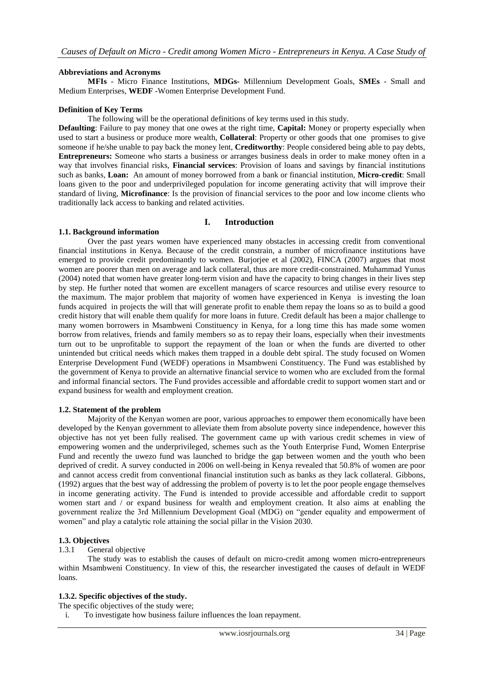# **Abbreviations and Acronyms**

**MFIs** - Micro Finance Institutions, **MDGs-** Millennium Development Goals, **SMEs** - Small and Medium Enterprises, **WEDF** -Women Enterprise Development Fund.

#### **Definition of Key Terms**

The following will be the operational definitions of key terms used in this study.

**Defaulting**: Failure to pay money that one owes at the right time, **Capital:** Money or property especially when used to start a business or produce more wealth, **Collateral**: Property or other goods that one promises to give someone if he/she unable to pay back the money lent, **Creditworthy**: People considered being able to pay debts, **Entrepreneurs:** Someone who starts a business or arranges business deals in order to make money often in a way that involves financial risks, **Financial services**: Provision of loans and savings by financial institutions such as banks, **Loan:** An amount of money borrowed from a bank or financial institution, **Micro-credit**: Small loans given to the poor and underprivileged population for income generating activity that will improve their standard of living, **Microfinance**: Is the provision of financial services to the poor and low income clients who traditionally lack access to banking and related activities.

### **I. Introduction**

# **1.1. Background information**

Over the past years women have experienced many obstacles in accessing credit from conventional financial institutions in Kenya. Because of the credit constrain, a number of microfinance institutions have emerged to provide credit predominantly to women. Burjorjee et al (2002), FINCA (2007) argues that most women are poorer than men on average and lack collateral, thus are more credit-constrained. Muhammad Yunus (2004) noted that women have greater long-term vision and have the capacity to bring changes in their lives step by step. He further noted that women are excellent managers of scarce resources and utilise every resource to the maximum. The major problem that majority of women have experienced in Kenya is investing the loan funds acquired in projects the will that will generate profit to enable them repay the loans so as to build a good credit history that will enable them qualify for more loans in future. Credit default has been a major challenge to many women borrowers in Msambweni Constituency in Kenya, for a long time this has made some women borrow from relatives, friends and family members so as to repay their loans, especially when their investments turn out to be unprofitable to support the repayment of the loan or when the funds are diverted to other unintended but critical needs which makes them trapped in a double debt spiral. The study focused on Women Enterprise Development Fund (WEDF) operations in Msambweni Constituency. The Fund was established by the government of Kenya to provide an alternative financial service to women who are excluded from the formal and informal financial sectors. The Fund provides accessible and affordable credit to support women start and or expand business for wealth and employment creation.

### **1.2. Statement of the problem**

Majority of the Kenyan women are poor, various approaches to empower them economically have been developed by the Kenyan government to alleviate them from absolute poverty since independence, however this objective has not yet been fully realised. The government came up with various credit schemes in view of empowering women and the underprivileged, schemes such as the Youth Enterprise Fund, Women Enterprise Fund and recently the uwezo fund was launched to bridge the gap between women and the youth who been deprived of credit. A survey conducted in 2006 on well-being in Kenya revealed that 50.8% of women are poor and cannot access credit from conventional financial institution such as banks as they lack collateral. Gibbons, (1992) argues that the best way of addressing the problem of poverty is to let the poor people engage themselves in income generating activity. The Fund is intended to provide accessible and affordable credit to support women start and / or expand business for wealth and employment creation. It also aims at enabling the government realize the 3rd Millennium Development Goal (MDG) on "gender equality and empowerment of women" and play a catalytic role attaining the social pillar in the Vision 2030.

# **1.3. Objectives**

# 1.3.1 General objective

The study was to establish the causes of default on micro-credit among women micro-entrepreneurs within Msambweni Constituency. In view of this, the researcher investigated the causes of default in WEDF loans.

### **1.3.2. Specific objectives of the study.**

The specific objectives of the study were;

i. To investigate how business failure influences the loan repayment.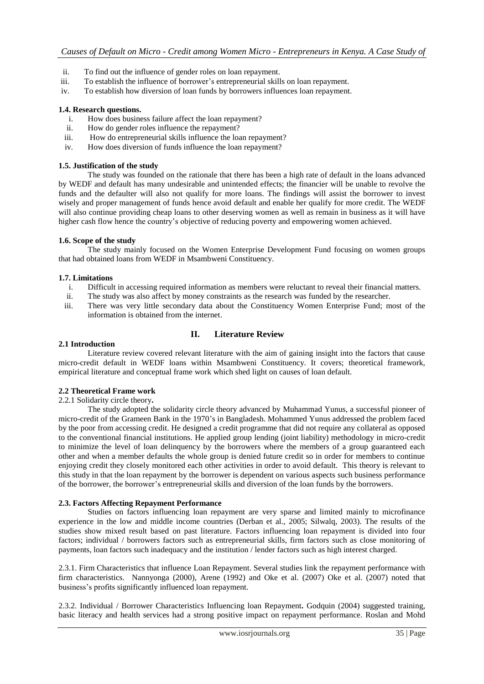- ii. To find out the influence of gender roles on loan repayment.
- iii. To establish the influence of borrower's entrepreneurial skills on loan repayment.
- iv. To establish how diversion of loan funds by borrowers influences loan repayment.

# **1.4. Research questions.**

- i. How does business failure affect the loan repayment?
- ii. How do gender roles influence the repayment?
- iii. How do entrepreneurial skills influence the loan repayment?
- iv. How does diversion of funds influence the loan repayment?

# **1.5. Justification of the study**

The study was founded on the rationale that there has been a high rate of default in the loans advanced by WEDF and default has many undesirable and unintended effects; the financier will be unable to revolve the funds and the defaulter will also not qualify for more loans. The findings will assist the borrower to invest wisely and proper management of funds hence avoid default and enable her qualify for more credit. The WEDF will also continue providing cheap loans to other deserving women as well as remain in business as it will have higher cash flow hence the country's objective of reducing poverty and empowering women achieved.

# **1.6. Scope of the study**

The study mainly focused on the Women Enterprise Development Fund focusing on women groups that had obtained loans from WEDF in Msambweni Constituency.

# **1.7. Limitations**

- i. Difficult in accessing required information as members were reluctant to reveal their financial matters.
- ii. The study was also affect by money constraints as the research was funded by the researcher.
- iii. There was very little secondary data about the Constituency Women Enterprise Fund; most of the information is obtained from the internet.

# **II. Literature Review**

# **2.1 Introduction**

Literature review covered relevant literature with the aim of gaining insight into the factors that cause micro-credit default in WEDF loans within Msambweni Constituency. It covers; theoretical framework, empirical literature and conceptual frame work which shed light on causes of loan default.

### **2.2 Theoretical Frame work**

### 2.2.1 Solidarity circle theory**.**

The study adopted the solidarity circle theory advanced by Muhammad Yunus, a successful pioneer of micro-credit of the Grameen Bank in the 1970's in Bangladesh. Mohammed Yunus addressed the problem faced by the poor from accessing credit. He designed a credit programme that did not require any collateral as opposed to the conventional financial institutions. He applied group lending (joint liability) methodology in micro-credit to minimize the level of loan delinquency by the borrowers where the members of a group guaranteed each other and when a member defaults the whole group is denied future credit so in order for members to continue enjoying credit they closely monitored each other activities in order to avoid default. This theory is relevant to this study in that the loan repayment by the borrower is dependent on various aspects such business performance of the borrower, the borrower's entrepreneurial skills and diversion of the loan funds by the borrowers.

# **2.3. Factors Affecting Repayment Performance**

Studies on factors influencing loan repayment are very sparse and limited mainly to microfinance experience in the low and middle income countries (Derban et al., 2005; Silwalq, 2003). The results of the studies show mixed result based on past literature. Factors influencing loan repayment is divided into four factors; individual / borrowers factors such as entrepreneurial skills, firm factors such as close monitoring of payments, loan factors such inadequacy and the institution / lender factors such as high interest charged.

2.3.1. Firm Characteristics that influence Loan Repayment. Several studies link the repayment performance with firm characteristics. Nannyonga (2000), Arene (1992) and Oke et al. (2007) Oke et al. (2007) noted that business's profits significantly influenced loan repayment.

2.3.2. Individual / Borrower Characteristics Influencing loan Repayment**.** Godquin (2004) suggested training, basic literacy and health services had a strong positive impact on repayment performance. Roslan and Mohd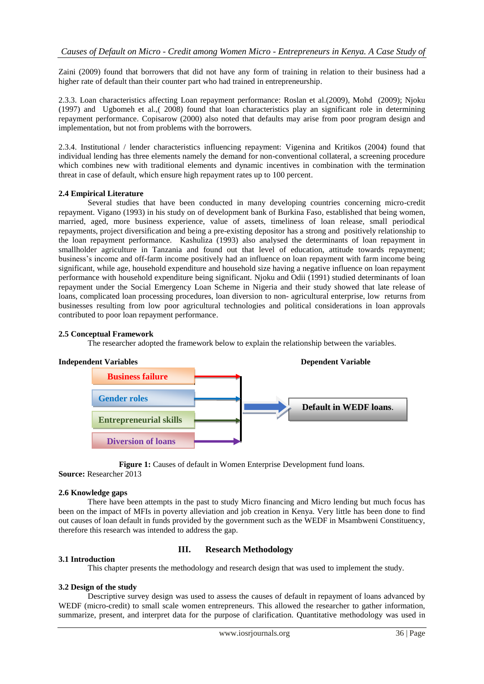Zaini (2009) found that borrowers that did not have any form of training in relation to their business had a higher rate of default than their counter part who had trained in entrepreneurship.

2.3.3. Loan characteristics affecting Loan repayment performance: Roslan et al.(2009), Mohd (2009); Njoku (1997) and Ugbomeh et al.,( 2008) found that loan characteristics play an significant role in determining repayment performance. Copisarow (2000) also noted that defaults may arise from poor program design and implementation, but not from problems with the borrowers.

2.3.4. Institutional / lender characteristics influencing repayment: Vigenina and Kritikos (2004) found that individual lending has three elements namely the demand for non-conventional collateral, a screening procedure which combines new with traditional elements and dynamic incentives in combination with the termination threat in case of default, which ensure high repayment rates up to 100 percent.

### **2.4 Empirical Literature**

Several studies that have been conducted in many developing countries concerning micro-credit repayment. Vigano (1993) in his study on of development bank of Burkina Faso, established that being women, married, aged, more business experience, value of assets, timeliness of loan release, small periodical repayments, project diversification and being a pre-existing depositor has a strong and positively relationship to the loan repayment performance. Kashuliza (1993) also analysed the determinants of loan repayment in smallholder agriculture in Tanzania and found out that level of education, attitude towards repayment; business's income and off-farm income positively had an influence on loan repayment with farm income being significant, while age, household expenditure and household size having a negative influence on loan repayment performance with household expenditure being significant. Njoku and Odii (1991) studied determinants of loan repayment under the Social Emergency Loan Scheme in Nigeria and their study showed that late release of loans, complicated loan processing procedures, loan diversion to non- agricultural enterprise, low returns from businesses resulting from low poor agricultural technologies and political considerations in loan approvals contributed to poor loan repayment performance.

# **2.5 Conceptual Framework**

The researcher adopted the framework below to explain the relationship between the variables.



**Figure 1:** Causes of default in Women Enterprise Development fund loans.

**Source:** Researcher 2013

# **2.6 Knowledge gaps**

There have been attempts in the past to study Micro financing and Micro lending but much focus has been on the impact of MFIs in poverty alleviation and job creation in Kenya. Very little has been done to find out causes of loan default in funds provided by the government such as the WEDF in Msambweni Constituency, therefore this research was intended to address the gap.

# **III. Research Methodology**

# This chapter presents the methodology and research design that was used to implement the study.

# **3.2 Design of the study**

**3.1 Introduction**

Descriptive survey design was used to assess the causes of default in repayment of loans advanced by WEDF (micro-credit) to small scale women entrepreneurs. This allowed the researcher to gather information, summarize, present, and interpret data for the purpose of clarification. Quantitative methodology was used in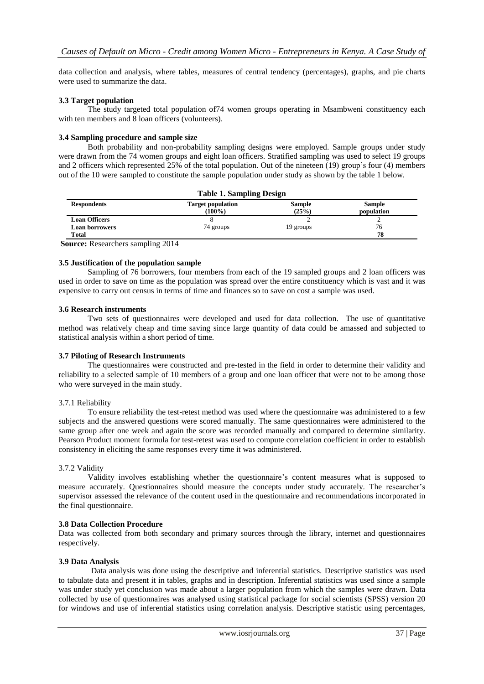data collection and analysis, where tables, measures of central tendency (percentages), graphs, and pie charts were used to summarize the data.

# **3.3 Target population**

The study targeted total population of74 women groups operating in Msambweni constituency each with ten members and 8 loan officers (volunteers).

# **3.4 Sampling procedure and sample size**

Both probability and non-probability sampling designs were employed. Sample groups under study were drawn from the 74 women groups and eight loan officers. Stratified sampling was used to select 19 groups and 2 officers which represented 25% of the total population. Out of the nineteen (19) group's four (4) members out of the 10 were sampled to constitute the sample population under study as shown by the table 1 below.

| <b>Table 1. Sampling Design</b> |                                       |                        |                             |
|---------------------------------|---------------------------------------|------------------------|-----------------------------|
| <b>Respondents</b>              | <b>Target population</b><br>$(100\%)$ | <b>Sample</b><br>(25%) | <b>Sample</b><br>population |
| <b>Loan Officers</b>            |                                       |                        |                             |
| <b>Loan borrowers</b>           | 74 groups                             | 19 groups              | 76                          |
| <b>Total</b>                    |                                       |                        | 78                          |

**Source:** Researchers sampling 2014

### **3.5 Justification of the population sample**

Sampling of 76 borrowers, four members from each of the 19 sampled groups and 2 loan officers was used in order to save on time as the population was spread over the entire constituency which is vast and it was expensive to carry out census in terms of time and finances so to save on cost a sample was used.

### **3.6 Research instruments**

Two sets of questionnaires were developed and used for data collection. The use of quantitative method was relatively cheap and time saving since large quantity of data could be amassed and subjected to statistical analysis within a short period of time.

# **3.7 Piloting of Research Instruments**

The questionnaires were constructed and pre-tested in the field in order to determine their validity and reliability to a selected sample of 10 members of a group and one loan officer that were not to be among those who were surveyed in the main study.

### 3.7.1 Reliability

To ensure reliability the test-retest method was used where the questionnaire was administered to a few subjects and the answered questions were scored manually. The same questionnaires were administered to the same group after one week and again the score was recorded manually and compared to determine similarity. Pearson Product moment formula for test-retest was used to compute correlation coefficient in order to establish consistency in eliciting the same responses every time it was administered.

## 3.7.2 Validity

Validity involves establishing whether the questionnaire's content measures what is supposed to measure accurately. Questionnaires should measure the concepts under study accurately. The researcher's supervisor assessed the relevance of the content used in the questionnaire and recommendations incorporated in the final questionnaire.

### **3.8 Data Collection Procedure**

Data was collected from both secondary and primary sources through the library, internet and questionnaires respectively.

### **3.9 Data Analysis**

 Data analysis was done using the descriptive and inferential statistics. Descriptive statistics was used to tabulate data and present it in tables, graphs and in description. Inferential statistics was used since a sample was under study yet conclusion was made about a larger population from which the samples were drawn. Data collected by use of questionnaires was analysed using statistical package for social scientists (SPSS) version 20 for windows and use of inferential statistics using correlation analysis. Descriptive statistic using percentages,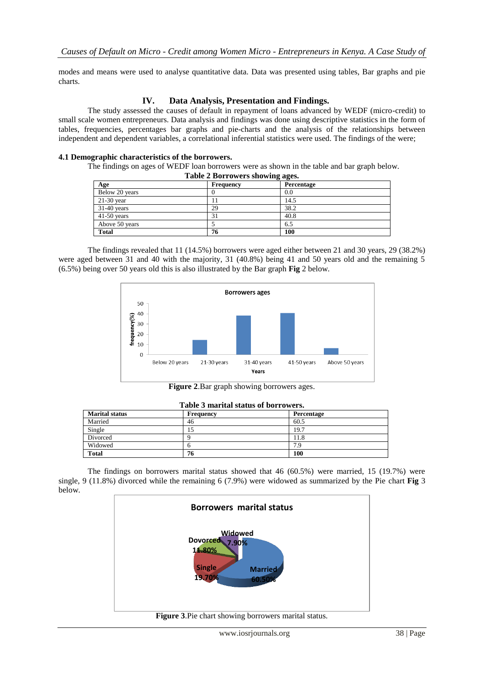modes and means were used to analyse quantitative data. Data was presented using tables, Bar graphs and pie charts.

# **IV. Data Analysis, Presentation and Findings.**

The study assessed the causes of default in repayment of loans advanced by WEDF (micro-credit) to small scale women entrepreneurs. Data analysis and findings was done using descriptive statistics in the form of tables, frequencies, percentages bar graphs and pie-charts and the analysis of the relationships between independent and dependent variables, a correlational inferential statistics were used. The findings of the were;

# **4.1 Demographic characteristics of the borrowers.**

The findings on ages of WEDF loan borrowers were as shown in the table and bar graph below.

| Table 2 Borrowers showing ages. |  |  |
|---------------------------------|--|--|
|---------------------------------|--|--|

| $10000 = 100110$ with $010$ with $0.000$ |           |            |  |
|------------------------------------------|-----------|------------|--|
| Age                                      | Frequency | Percentage |  |
| Below 20 years                           |           | 0.0        |  |
| $21-30$ year                             |           | 14.5       |  |
| $31-40$ years                            | 29        | 38.2       |  |
| $41-50$ years                            | 31        | 40.8       |  |
| Above 50 years                           |           | 6.5        |  |
| <b>Total</b>                             | 76        | 100        |  |

The findings revealed that 11 (14.5%) borrowers were aged either between 21 and 30 years, 29 (38.2%) were aged between 31 and 40 with the majority, 31 (40.8%) being 41 and 50 years old and the remaining 5 (6.5%) being over 50 years old this is also illustrated by the Bar graph **Fig** 2 below.



**Figure 2**.Bar graph showing borrowers ages.

| TANIL A MATTIMI NATURI AT NATURA DI M |           |            |  |
|---------------------------------------|-----------|------------|--|
| <b>Marital status</b>                 | Frequency | Percentage |  |
| Married                               | 46        | 60.5       |  |
| Single                                | IJ        | 19.7       |  |
| Divorced                              |           | 11.8       |  |
| Widowed                               |           | 7.9        |  |
| <b>Total</b>                          | 76        | 100        |  |

#### **Table 3 marital status of borrowers.**

The findings on borrowers marital status showed that 46 (60.5%) were married, 15 (19.7%) were single, 9 (11.8%) divorced while the remaining 6 (7.9%) were widowed as summarized by the Pie chart **Fig** 3 below.

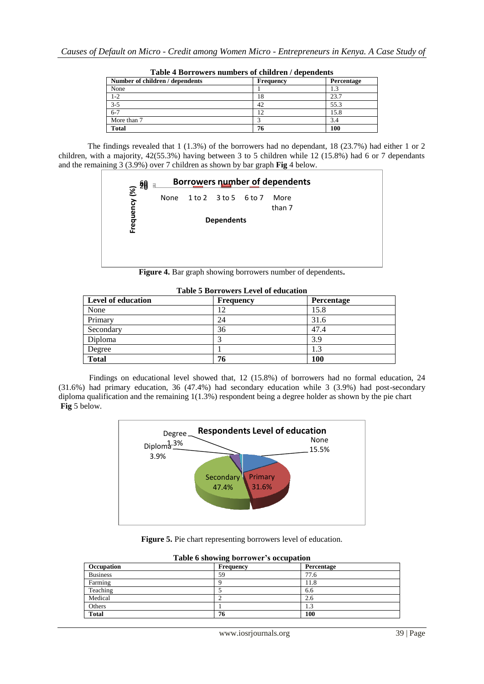| rasiv + borrowers mannoels or emitted in , aependents |                   |  |  |
|-------------------------------------------------------|-------------------|--|--|
| Frequency                                             | <b>Percentage</b> |  |  |
|                                                       |                   |  |  |
| 18                                                    | 23.7              |  |  |
| 42                                                    | 55.3              |  |  |
| 12                                                    | 15.8              |  |  |
|                                                       | 3.4               |  |  |
| 76                                                    | 100               |  |  |
|                                                       |                   |  |  |

**Table 4 Borrowers numbers of children / dependents**

The findings revealed that 1 (1.3%) of the borrowers had no dependant, 18 (23.7%) had either 1 or 2 children, with a majority, 42(55.3%) having between 3 to 5 children while 12 (15.8%) had 6 or 7 dependants and the remaining 3 (3.9%) over 7 children as shown by bar graph **Fig** 4 below.



**Figure 4.** Bar graph showing borrowers number of dependents**.**

| <b>Level of education</b> | <b>Frequency</b> | Percentage |
|---------------------------|------------------|------------|
| None                      | 12               | 15.8       |
| Primary                   | 24               | 31.6       |
| Secondary                 | 36               | 47.4       |
| Diploma                   |                  | 3.9        |
| Degree                    |                  | 1.3        |
| <b>Total</b>              | 76               | 100        |

**Table 5 Borrowers Level of education**

 Findings on educational level showed that, 12 (15.8%) of borrowers had no formal education, 24 (31.6%) had primary education, 36 (47.4%) had secondary education while 3 (3.9%) had post-secondary diploma qualification and the remaining 1(1.3%) respondent being a degree holder as shown by the pie chart **Fig** 5 below.



**Figure 5.** Pie chart representing borrowers level of education.

| Occupation      | Table o showing borrower s occupation<br>Frequency | Percentage        |
|-----------------|----------------------------------------------------|-------------------|
| <b>Business</b> | 59                                                 | 77.6              |
| Farming         |                                                    | !1.8              |
| Teaching        |                                                    | 6.6               |
| Medical         |                                                    | 2.6               |
| Others          |                                                    | $\sqrt{2}$<br>l.3 |
| <b>Total</b>    | 76                                                 | 100               |

|  | Table 6 showing borrower's occupation |  |
|--|---------------------------------------|--|
|  |                                       |  |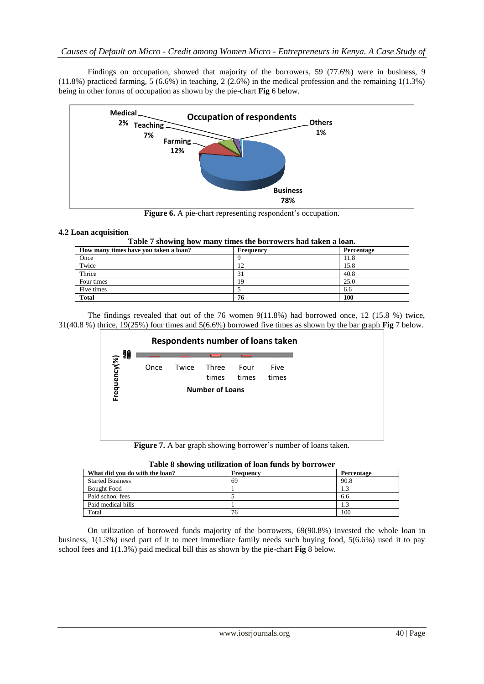Findings on occupation, showed that majority of the borrowers, 59 (77.6%) were in business, 9  $(11.8\%)$  practiced farming, 5 (6.6%) in teaching, 2 (2.6%) in the medical profession and the remaining 1(1.3%) being in other forms of occupation as shown by the pie-chart **Fig** 6 below.



Figure 6. A pie-chart representing respondent's occupation.

# **4.2 Loan acquisition**

| How many times have you taken a loan? | Frequency | Percentage |
|---------------------------------------|-----------|------------|
| Once                                  |           | 11.8       |
| Twice                                 | ി         | 15.8       |
| Thrice                                | 31        | 40.8       |
| Four times                            | 19        | 25.0       |
| Five times                            |           | 6.6        |
| <b>Total</b>                          | 76        | 100        |

The findings revealed that out of the 76 women 9(11.8%) had borrowed once, 12 (15.8 %) twice, 31(40.8 %) thrice, 19(25%) four times and 5(6.6%) borrowed five times as shown by the bar graph **Fig** 7 below.



| Table 8 showing utilization of loan funds by borrower |                  |            |  |  |  |
|-------------------------------------------------------|------------------|------------|--|--|--|
| What did you do with the loan?                        | <b>Frequency</b> | Percentage |  |  |  |
| <b>Started Business</b>                               | 69               | 90.8       |  |  |  |
| Bought Food                                           |                  |            |  |  |  |
| Paid school fees                                      |                  | 6.6        |  |  |  |
| Paid medical bills                                    |                  |            |  |  |  |
| Total                                                 | 76               | 100        |  |  |  |

|  | On utilization of borrowed funds majority of the borrowers, 69(90.8%) invested the whole loan in              |  |  |  |  |  |
|--|---------------------------------------------------------------------------------------------------------------|--|--|--|--|--|
|  | business, $1(1.3%)$ used part of it to meet immediate family needs such buying food, $5(6.6%)$ used it to pay |  |  |  |  |  |
|  | school fees and $1(1.3\%)$ paid medical bill this as shown by the pie-chart <b>Fig</b> 8 below.               |  |  |  |  |  |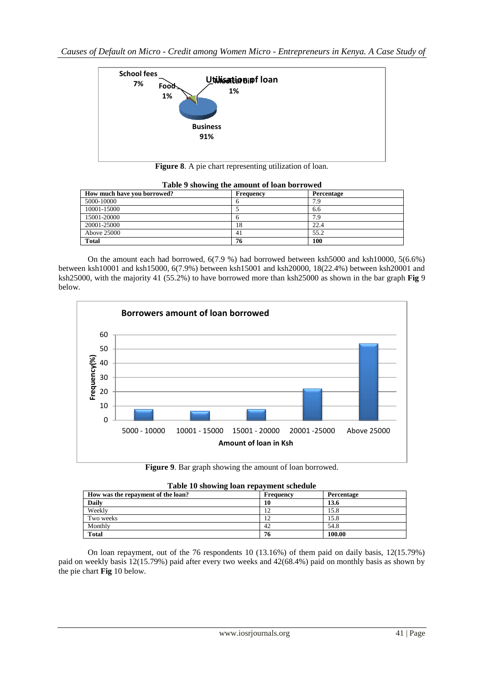

**Figure 8**. A pie chart representing utilization of loan.

| Tuble 2 showing the uniount of four borrowed |           |            |  |  |  |  |
|----------------------------------------------|-----------|------------|--|--|--|--|
| How much have you borrowed?                  | Frequency | Percentage |  |  |  |  |
| 5000-10000                                   |           | 7.9        |  |  |  |  |
| 10001-15000                                  |           | 6.6        |  |  |  |  |
| 15001-20000                                  |           | 7.9        |  |  |  |  |
| 20001-25000                                  | 18        | 22.4       |  |  |  |  |
| Above 25000                                  | 41        | 55.2       |  |  |  |  |
| <b>Total</b>                                 | 76        | 100        |  |  |  |  |

| Table 9 showing the amount of loan borrowed |
|---------------------------------------------|
|---------------------------------------------|

On the amount each had borrowed, 6(7.9 %) had borrowed between ksh5000 and ksh10000, 5(6.6%) between ksh10001 and ksh15000, 6(7.9%) between ksh15001 and ksh20000, 18(22.4%) between ksh20001 and ksh25000, with the majority 41 (55.2%) to have borrowed more than ksh25000 as shown in the bar graph **Fig** 9 below.



**Figure 9**. Bar graph showing the amount of loan borrowed.

| Table 10 showing loan repayment schedule |           |            |  |  |  |  |
|------------------------------------------|-----------|------------|--|--|--|--|
| How was the repayment of the loan?       | Frequency | Percentage |  |  |  |  |
| <b>Daily</b>                             | 10        | 13.6       |  |  |  |  |
| Weekly                                   | 12        | 15.8       |  |  |  |  |
| Two weeks                                | 12        | 15.8       |  |  |  |  |
| Monthly                                  | 42        | 54.8       |  |  |  |  |
| <b>Total</b>                             | 76        | 100.00     |  |  |  |  |

On loan repayment, out of the 76 respondents 10 (13.16%) of them paid on daily basis, 12(15.79%) paid on weekly basis 12(15.79%) paid after every two weeks and 42(68.4%) paid on monthly basis as shown by the pie chart **Fig** 10 below.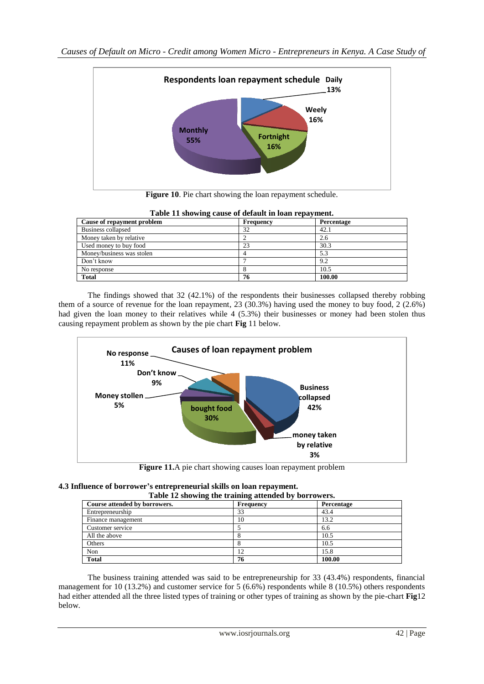

**Figure 10**. Pie chart showing the loan repayment schedule.

| Cause of repayment problem | <b>Frequency</b> | - <b>-</b> --<br>Percentage |
|----------------------------|------------------|-----------------------------|
| Business collapsed         | 32               | 42.1                        |
| Money taken by relative    |                  | 2.6                         |
| Used money to buy food     | 23               | 30.3                        |
| Money/business was stolen  |                  | 5.3                         |
| Don't know                 |                  | 9.2                         |
| No response                |                  | 10.5                        |
| <b>Total</b>               | 76               | 100.00                      |

| Table 11 showing cause of default in loan repayment. |  |  |  |  |  |
|------------------------------------------------------|--|--|--|--|--|
|                                                      |  |  |  |  |  |

The findings showed that 32 (42.1%) of the respondents their businesses collapsed thereby robbing them of a source of revenue for the loan repayment, 23 (30.3%) having used the money to buy food, 2 (2.6%) had given the loan money to their relatives while 4 (5.3%) their businesses or money had been stolen thus causing repayment problem as shown by the pie chart **Fig** 11 below.



**Figure 11.**A pie chart showing causes loan repayment problem

# **4.3 Influence of borrower's entrepreneurial skills on loan repayment.**

| Table 12 showing the training attended by borrowers. |           |            |  |  |  |
|------------------------------------------------------|-----------|------------|--|--|--|
| Course attended by borrowers.                        | Frequency | Percentage |  |  |  |
| Entrepreneurship                                     | 33        | 43.4       |  |  |  |
| Finance management                                   | 10        | 13.2       |  |  |  |
| Customer service                                     |           | 6.6        |  |  |  |
| All the above                                        |           | 10.5       |  |  |  |
| Others                                               |           | 10.5       |  |  |  |
| Non                                                  |           | 15.8       |  |  |  |
| <b>Total</b>                                         | 76        | 100.00     |  |  |  |

The business training attended was said to be entrepreneurship for 33 (43.4%) respondents, financial management for 10 (13.2%) and customer service for 5 (6.6%) respondents while 8 (10.5%) others respondents had either attended all the three listed types of training or other types of training as shown by the pie-chart **Fig**12 below.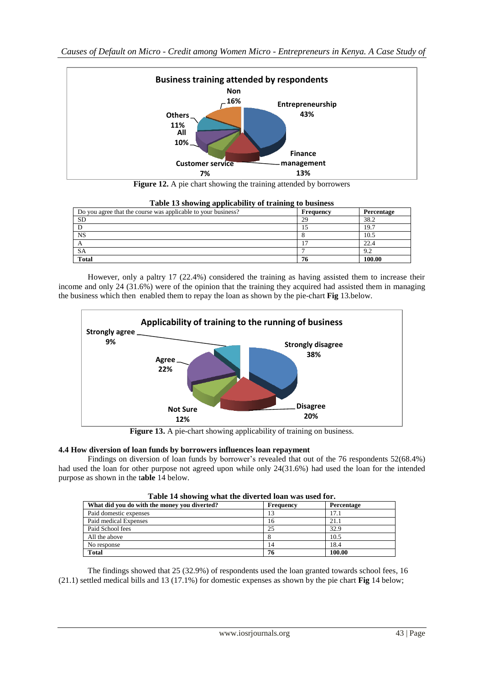

**Figure 12.** A pie chart showing the training attended by borrowers

| Do you agree that the course was applicable to your business? | -<br>Frequency | Percentage |
|---------------------------------------------------------------|----------------|------------|
| <b>SD</b>                                                     | 29             | 38.2       |
|                                                               |                | 19.7       |
| <b>NS</b>                                                     |                | 10.5       |
|                                                               |                | 22.4       |
| <b>SA</b>                                                     |                | 9.2        |
| <b>Total</b>                                                  | 76             | 100.00     |

|  |  | Table 13 showing applicability of training to business |  |  |
|--|--|--------------------------------------------------------|--|--|
|  |  |                                                        |  |  |

However, only a paltry 17 (22.4%) considered the training as having assisted them to increase their income and only 24 (31.6%) were of the opinion that the training they acquired had assisted them in managing the business which then enabled them to repay the loan as shown by the pie-chart **Fig** 13.below.



Figure 13. A pie-chart showing applicability of training on business.

# **4.4 How diversion of loan funds by borrowers influences loan repayment**

Findings on diversion of loan funds by borrower's revealed that out of the 76 respondents 52(68.4%) had used the loan for other purpose not agreed upon while only 24(31.6%) had used the loan for the intended purpose as shown in the t**able** 14 below.

| Table 14 showing what the diverted loan was used for. |           |            |  |  |  |  |
|-------------------------------------------------------|-----------|------------|--|--|--|--|
| What did you do with the money you diverted?          | Frequency | Percentage |  |  |  |  |
| Paid domestic expenses                                |           | 17.1       |  |  |  |  |
| Paid medical Expenses                                 | 16        | 21.1       |  |  |  |  |
| Paid School fees                                      | 25        | 32.9       |  |  |  |  |
| All the above                                         |           | 10.5       |  |  |  |  |
| No response                                           | 14        | 18.4       |  |  |  |  |
| <b>Total</b>                                          | 76        | 100.00     |  |  |  |  |

The findings showed that 25 (32.9%) of respondents used the loan granted towards school fees, 16 (21.1) settled medical bills and 13 (17.1%) for domestic expenses as shown by the pie chart **Fig** 14 below;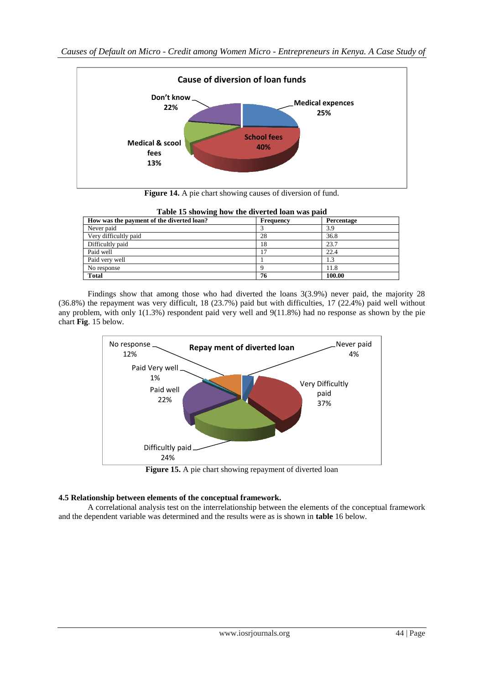

**Figure 14.** A pie chart showing causes of diversion of fund.

| Table to showing now the urrefled foan was paid |                  |            |  |  |  |
|-------------------------------------------------|------------------|------------|--|--|--|
| How was the payment of the diverted loan?       | <b>Frequency</b> | Percentage |  |  |  |
| Never paid                                      |                  | 3.9        |  |  |  |
| Very difficultly paid                           | 28               | 36.8       |  |  |  |
| Difficultly paid                                | 18               | 23.7       |  |  |  |
| Paid well                                       |                  | 22.4       |  |  |  |
| Paid very well                                  |                  |            |  |  |  |
| No response                                     |                  | 11.8       |  |  |  |
| <b>Total</b>                                    | 76               | 100.00     |  |  |  |

| Table 15 showing how the diverted loan was paid |
|-------------------------------------------------|
|-------------------------------------------------|

Findings show that among those who had diverted the loans 3(3.9%) never paid, the majority 28 (36.8%) the repayment was very difficult, 18 (23.7%) paid but with difficulties, 17 (22.4%) paid well without any problem, with only 1(1.3%) respondent paid very well and 9(11.8%) had no response as shown by the pie chart **Fig**. 15 below.



Figure 15. A pie chart showing repayment of diverted loan

# **4.5 Relationship between elements of the conceptual framework.**

A correlational analysis test on the interrelationship between the elements of the conceptual framework and the dependent variable was determined and the results were as is shown in **table** 16 below.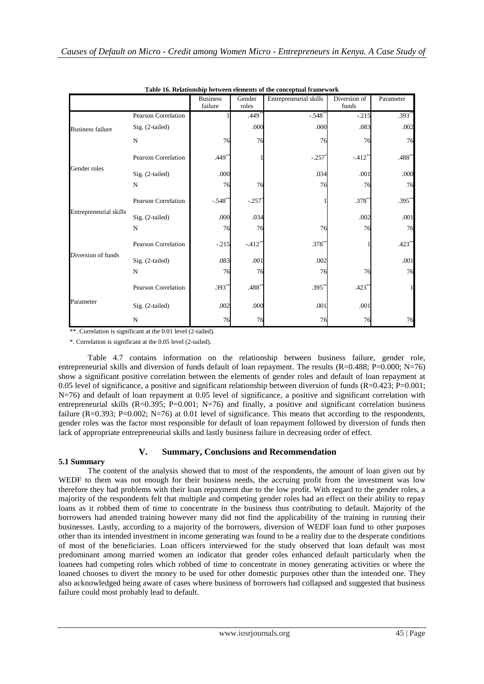| Table 16. Relationship between elements of the conceptual framework |                            |                            |                 |                        |                       |              |  |
|---------------------------------------------------------------------|----------------------------|----------------------------|-----------------|------------------------|-----------------------|--------------|--|
|                                                                     |                            | <b>Business</b><br>failure | Gender<br>roles | Entrepreneurial skills | Diversion of<br>funds | Parameter    |  |
|                                                                     | <b>Pearson Correlation</b> |                            | $.449^{**}$     | $-.548$ <sup>*</sup>   | $-215$                | $.393**$     |  |
| <b>Business failure</b>                                             | Sig. (2-tailed)            |                            | .000            | .000                   | .083                  | .002         |  |
|                                                                     | $\mathbf N$                | 76                         | 76              | 76                     | 76                    | 76           |  |
|                                                                     | <b>Pearson Correlation</b> | $.449**$                   |                 | $-.257$                | $-.412**$             | $.488**$     |  |
| Gender roles                                                        | Sig. (2-tailed)            | .000                       |                 | .034                   | .001                  | .000         |  |
|                                                                     | N                          | 76                         | 76              | 76                     | 76                    | 76           |  |
| Entrepreneurial skills                                              | <b>Pearson Correlation</b> | $-.548^{**}$               | $-.257$         |                        | $.378^{**}$           | $.395**$     |  |
|                                                                     | Sig. (2-tailed)            | .000                       | .034            |                        | .002                  | .001         |  |
|                                                                     | N                          | 76                         | 76              | 76                     | 76                    | 76           |  |
| Diversion of funds                                                  | Pearson Correlation        | $-.215$                    | $-.412**$       | $.378*$                |                       | $.423**$     |  |
|                                                                     | Sig. (2-tailed)            | .083                       | .001            | .002                   |                       | .001         |  |
|                                                                     | N                          | 76                         | 76              | 76                     | 76                    | 76           |  |
| Parameter                                                           | Pearson Correlation        | $.393**$                   | .488**          | $.395**$               | $.423*$               | $\mathbf{1}$ |  |
|                                                                     | Sig. (2-tailed)            | .002                       | .000            | .001                   | .001                  |              |  |
|                                                                     | N                          | 76                         | 76              | 76                     | 76                    | 76           |  |

**Table 16. Relationship between elements of the conceptual framework**

\*\*. Correlation is significant at the 0.01 level (2-tailed).

\*. Correlation is significant at the 0.05 level (2-tailed).

Table 4.7 contains information on the relationship between business failure, gender role, entrepreneurial skills and diversion of funds default of loan repayment. The results (R=0.488; P=0.000; N=76) show a significant positive correlation between the elements of gender roles and default of loan repayment at 0.05 level of significance, a positive and significant relationship between diversion of funds  $(R=0.423; P=0.001;$ N=76) and default of loan repayment at 0.05 level of significance, a positive and significant correlation with entrepreneurial skills (R=0.395; P=0.001; N=76) and finally, a positive and significant correlation business failure ( $R=0.393$ ;  $P=0.002$ ;  $N=76$ ) at 0.01 level of significance. This means that according to the respondents, gender roles was the factor most responsible for default of loan repayment followed by diversion of funds then lack of appropriate entrepreneurial skills and lastly business failure in decreasing order of effect.

### **V. Summary, Conclusions and Recommendation**

#### **5.1 Summary**

The content of the analysis showed that to most of the respondents, the amount of loan given out by WEDF to them was not enough for their business needs, the accruing profit from the investment was low therefore they had problems with their loan repayment due to the low profit. With regard to the gender roles, a majority of the respondents felt that multiple and competing gender roles had an effect on their ability to repay loans as it robbed them of time to concentrate in the business thus contributing to default. Majority of the borrowers had attended training however many did not find the applicability of the training in running their businesses. Lastly, according to a majority of the borrowers, diversion of WEDF loan fund to other purposes other than its intended investment in income generating was found to be a reality due to the desperate conditions of most of the beneficiaries. Loan officers interviewed for the study observed that loan default was most predominant among married women an indicator that gender roles enhanced default particularly when the loanees had competing roles which robbed of time to concentrate in money generating activities or where the loaned chooses to divert the money to be used for other domestic purposes other than the intended one. They also acknowledged being aware of cases where business of borrowers had collapsed and suggested that business failure could most probably lead to default.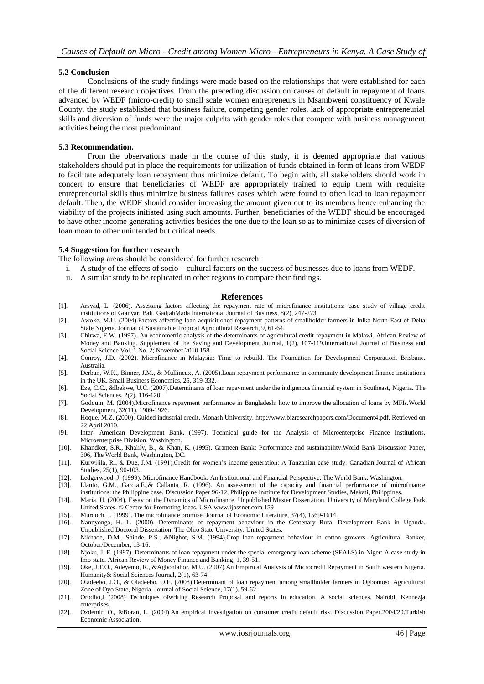#### **5.2 Conclusion**

Conclusions of the study findings were made based on the relationships that were established for each of the different research objectives. From the preceding discussion on causes of default in repayment of loans advanced by WEDF (micro-credit) to small scale women entrepreneurs in Msambweni constituency of Kwale County, the study established that business failure, competing gender roles, lack of appropriate entrepreneurial skills and diversion of funds were the major culprits with gender roles that compete with business management activities being the most predominant.

#### **5.3 Recommendation.**

From the observations made in the course of this study, it is deemed appropriate that various stakeholders should put in place the requirements for utilization of funds obtained in form of loans from WEDF to facilitate adequately loan repayment thus minimize default. To begin with, all stakeholders should work in concert to ensure that beneficiaries of WEDF are appropriately trained to equip them with requisite entrepreneurial skills thus minimize business failures cases which were found to often lead to loan repayment default. Then, the WEDF should consider increasing the amount given out to its members hence enhancing the viability of the projects initiated using such amounts. Further, beneficiaries of the WEDF should be encouraged to have other income generating activities besides the one due to the loan so as to minimize cases of diversion of loan moan to other unintended but critical needs.

#### **5.4 Suggestion for further research**

The following areas should be considered for further research:

- i. A study of the effects of socio cultural factors on the success of businesses due to loans from WEDF.
- ii. A similar study to be replicated in other regions to compare their findings.

#### **References**

- [1]. Arsyad, L. (2006). Assessing factors affecting the repayment rate of microfinance institutions: case study of village credit institutions of Gianyar, Bali. GadjahMada International Journal of Business, 8(2), 247-273.
- [2]. Awoke, M.U. (2004).Factors affecting loan acquisitioned repayment patterns of smallholder farmers in Inlka North-East of Delta State Nigeria. Journal of Sustainable Tropical Agricultural Research, 9, 61-64.
- [3]. Chirwa, E.W. (1997). An econometric analysis of the determinants of agricultural credit repayment in Malawi. African Review of Money and Banking. Supplement of the Saving and Development Journal, 1(2), 107-119.International Journal of Business and Social Science Vol. 1 No. 2; November 2010 158
- [4]. Conroy, J.D. (2002). Microfinance in Malaysia: Time to rebuild. The Foundation for Development Corporation. Brisbane. Australia.
- [5]. Derban, W.K., Binner, J.M., & Mullineux, A. (2005).Loan repayment performance in community development finance institutions in the UK. Small Business Economics, 25, 319-332.
- [6]. Eze, C.C., &Ibekwe, U.C. (2007).Determinants of loan repayment under the indigenous financial system in Southeast, Nigeria. The Social Sciences, 2(2), 116-120.
- [7]. Godquin, M. (2004).Microfinance repayment performance in Bangladesh: how to improve the allocation of loans by MFIs.World Development, 32(11), 1909-1926.
- [8]. Hoque, M.Z. (2000). Guided industrial credit. Monash University. http://www.bizresearchpapers.com/Document4.pdf. Retrieved on 22 April 2010.
- [9]. Inter- American Development Bank. (1997). Technical guide for the Analysis of Microenterprise Finance Institutions. Microenterprise Division. Washington.
- [10]. Khandker, S.R., Khalily, B., & Khan, K. (1995). Grameen Bank: Performance and sustainability.World Bank Discussion Paper, 306, The World Bank, Washington, DC.
- [11]. Kurwijila, R., & Due, J.M. (1991).Credit for women's income generation: A Tanzanian case study. Canadian Journal of African Studies, 25(1), 90-103.
- [12]. Ledgerwood, J. (1999). Microfinance Handbook: An Institutional and Financial Perspective. The World Bank. Washington.
- [13]. Llanto, G.M., Garcia.E.,& Callanta, R. (1996). An assessment of the capacity and financial performance of microfinance institutions: the Philippine case. Discussion Paper 96-12, Philippine Institute for Development Studies, Makati, Philippines.
- [14]. Maria, U. (2004). Essay on the Dynamics of Microfinance. Unpublished Master Dissertation, University of Maryland College Park United States. **©** Centre for Promoting Ideas, US[A www.ijbssnet.com](http://www.ijbssnet.com/) 159
- [15]. Murdoch, J. (1999). The microfinance promise. Journal of Economic Literature, 37(4), 1569-1614.
- [16]. Nannyonga, H. L. (2000). Determinants of repayment behaviour in the Centenary Rural Development Bank in Uganda. Unpublished Doctoral Dissertation. The Ohio State University. United States.
- [17]. Nikhade, D.M., Shinde, P.S., &Nighot, S.M. (1994).Crop loan repayment behaviour in cotton growers. Agricultural Banker, October/December, 13-16.
- [18]. Njoku, J. E. (1997). Determinants of loan repayment under the special emergency loan scheme (SEALS) in Niger: A case study in Imo state. African Review of Money Finance and Banking, 1, 39-51.
- [19]. Oke, J.T.O., Adeyemo, R., &Agbonlahor, M.U. (2007).An Empirical Analysis of Microcredit Repayment in South western Nigeria. Humanity& Social Sciences Journal, 2(1), 63-74.
- [20]. Oladeebo, J.O., & Oladeebo, O.E. (2008).Determinant of loan repayment among smallholder farmers in Ogbomoso Agricultural Zone of Oyo State, Nigeria. Journal of Social Science, 17(1), 59-62.
- [21]. Orodho,J (2008) Techniques ofwriting Research Proposal and reports in education. A social sciences. Nairobi, Kennezja enterprises.
- [22]. Ozdemir, O., &Boran, L. (2004).An empirical investigation on consumer credit default risk. Discussion Paper.2004/20.Turkish Economic Association.